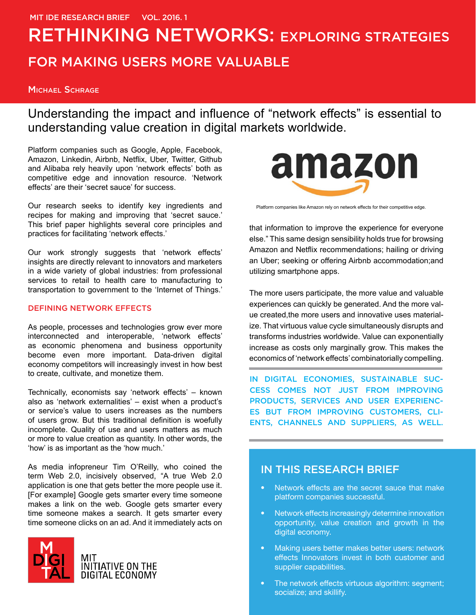#### **MICHAEL SCHRAGE**

Understanding the impact and influence of "network effects" is essential to understanding value creation in digital markets worldwide.

Platform companies such as Google, Apple, Facebook, Amazon, Linkedin, Airbnb, Netflix, Uber, Twitter, Github and Alibaba rely heavily upon 'network effects' both as competitive edge and innovation resource. 'Network effects' are their 'secret sauce' for success.

Our research seeks to identify key ingredients and recipes for making and improving that 'secret sauce.' This brief paper highlights several core principles and practices for facilitating 'network effects.'

Our work strongly suggests that 'network effects' insights are directly relevant to innovators and marketers in a wide variety of global industries: from professional services to retail to health care to manufacturing to transportation to government to the 'Internet of Things.'

#### DEFINING NETWORK EFFECTS

As people, processes and technologies grow ever more interconnected and interoperable, 'network effects' as economic phenomena and business opportunity become even more important. Data-driven digital economy competitors will increasingly invest in how best to create, cultivate, and monetize them.

Technically, economists say 'network effects' – known also as 'network externalities' – exist when a product's or service's value to users increases as the numbers of users grow. But this traditional definition is woefully incomplete. Quality of use and users matters as much or more to value creation as quantity. In other words, the 'how' is as important as the 'how much.'

As media infopreneur Tim O'Reilly, who coined the term Web 2.0, incisively observed, "A true Web 2.0 application is one that gets better the more people use it. [For example] Google gets smarter every time someone makes a link on the web. Google gets smarter every time someone makes a search. It gets smarter every time someone clicks on an ad. And it immediately acts on





Platform companies like Amazon rely on network effects for their competitive edge.

that information to improve the experience for everyone else." This same design sensibility holds true for browsing Amazon and Netflix recommendations; hailing or driving an Uber; seeking or offering Airbnb accommodation;and utilizing smartphone apps.

The more users participate, the more value and valuable experiences can quickly be generated. And the more value created,the more users and innovative uses materialize. That virtuous value cycle simultaneously disrupts and transforms industries worldwide. Value can exponentially increase as costs only marginally grow. This makes the economics of 'network effects' combinatorially compelling.

IN DIGITAL ECONOMIES, SUSTAINABLE SUC-CESS COMES NOT JUST FROM IMPROVING PRODUCTS, SERVICES AND USER EXPERIENC-ES BUT FROM IMPROVING CUSTOMERS, CLI-ENTS, CHANNELS AND SUPPLIERS, AS WELL.

### IN THIS RESEARCH BRIEF

- Network effects are the secret sauce that make platform companies successful.
- Network effects increasingly determine innovation opportunity, value creation and growth in the digital economy.
- Making users better makes better users: network effects Innovators invest in both customer and supplier capabilities.
- The network effects virtuous algorithm: segment; socialize; and skillify.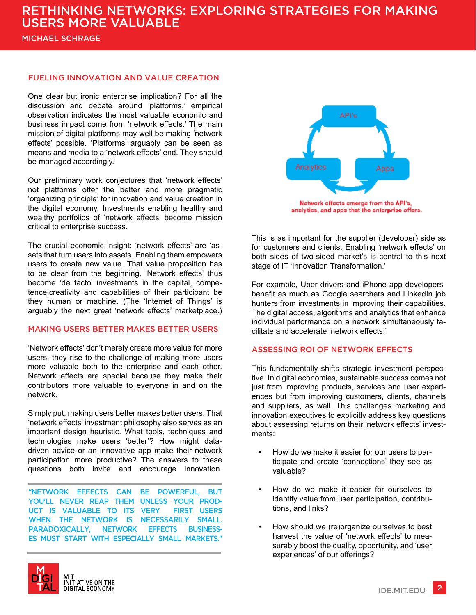MICHAEL SCHRAGE

#### FUELING INNOVATION AND VALUE CREATION

One clear but ironic enterprise implication? For all the discussion and debate around 'platforms,' empirical observation indicates the most valuable economic and business impact come from 'network effects.' The main mission of digital platforms may well be making 'network effects' possible. 'Platforms' arguably can be seen as means and media to a 'network effects' end. They should be managed accordingly.

Our preliminary work conjectures that 'network effects' not platforms offer the better and more pragmatic 'organizing principle' for innovation and value creation in the digital economy. Investments enabling healthy and wealthy portfolios of 'network effects' become mission critical to enterprise success.

The crucial economic insight: 'network effects' are 'assets'that turn users into assets. Enabling them empowers users to create new value. That value proposition has to be clear from the beginning. 'Network effects' thus become 'de facto' investments in the capital, competence,creativity and capabilities of their participant be they human or machine. (The 'Internet of Things' is arguably the next great 'network effects' marketplace.)

#### MAKING USERS BETTER MAKES BETTER USERS

'Network effects' don't merely create more value for more users, they rise to the challenge of making more users more valuable both to the enterprise and each other. Network effects are special because they make their contributors more valuable to everyone in and on the network.

Simply put, making users better makes better users. That 'network effects' investment philosophy also serves as an important design heuristic. What tools, techniques and technologies make users 'better'? How might datadriven advice or an innovative app make their network participation more productive? The answers to these questions both invite and encourage innovation.

"NETWORK EFFECTS CAN BE POWERFUL, BUT YOU'LL NEVER REAP THEM UNLESS YOUR PROD-UCT IS VALUABLE TO ITS VERY FIRST USERS WHEN THE NETWORK IS NECESSARILY SMALL. PARADOXICALLY, NETWORK EFFECTS BUSINESS-ES MUST START WITH ESPECIALLY SMALL MARKETS."



Network effects emerge from the API's, analytics, and apps that the enterprise offers.

This is as important for the supplier (developer) side as for customers and clients. Enabling 'network effects' on both sides of two-sided market's is central to this next stage of IT 'Innovation Transformation.'

For example, Uber drivers and iPhone app developersbenefit as much as Google searchers and LinkedIn job hunters from investments in improving their capabilities. The digital access, algorithms and analytics that enhance individual performance on a network simultaneously facilitate and accelerate 'network effects.'

#### ASSESSING ROI OF NETWORK EFFECTS

This fundamentally shifts strategic investment perspective. In digital economies, sustainable success comes not just from improving products, services and user experiences but from improving customers, clients, channels and suppliers, as well. This challenges marketing and innovation executives to explicitly address key questions about assessing returns on their 'network effects' investments:

- How do we make it easier for our users to participate and create 'connections' they see as valuable?
- How do we make it easier for ourselves to identify value from user participation, contributions, and links?
- How should we (re)organize ourselves to best harvest the value of 'network effects' to measurably boost the quality, opportunity, and 'user experiences' of our offerings?

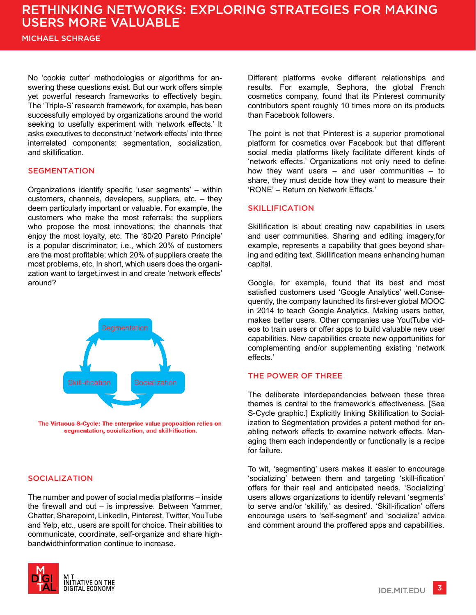MICHAEL SCHRAGE

No 'cookie cutter' methodologies or algorithms for answering these questions exist. But our work offers simple yet powerful research frameworks to effectively begin. The 'Triple-S' research framework, for example, has been successfully employed by organizations around the world seeking to usefully experiment with 'network effects.' It asks executives to deconstruct 'network effects' into three interrelated components: segmentation, socialization, and skillification.

#### **SEGMENTATION**

Organizations identify specific 'user segments' – within customers, channels, developers, suppliers, etc. – they deem particularly important or valuable. For example, the customers who make the most referrals; the suppliers who propose the most innovations; the channels that enjoy the most loyalty, etc. The '80/20 Pareto Principle' is a popular discriminator; i.e., which 20% of customers are the most profitable; which 20% of suppliers create the most problems, etc. In short, which users does the organization want to target,invest in and create 'network effects' around?



The Virtuous S-Cycle: The enterprise value proposition relies on segmentation, socialization, and skill-ification.

#### SOCIALIZATION

The number and power of social media platforms – inside the firewall and out – is impressive. Between Yammer, Chatter, Sharepoint, LinkedIn, Pinterest, Twitter, YouTube and Yelp, etc., users are spoilt for choice. Their abilities to communicate, coordinate, self-organize and share highbandwidthinformation continue to increase.



Different platforms evoke different relationships and results. For example, Sephora, the global French cosmetics company, found that its Pinterest community contributors spent roughly 10 times more on its products than Facebook followers.

The point is not that Pinterest is a superior promotional platform for cosmetics over Facebook but that different social media platforms likely facilitate different kinds of 'network effects.' Organizations not only need to define how they want users  $-$  and user communities  $-$  to share, they must decide how they want to measure their 'RONE' – Return on Network Effects.'

#### SKILLIFICATION

Skillification is about creating new capabilities in users and user communities. Sharing and editing imagery,for example, represents a capability that goes beyond sharing and editing text. Skillification means enhancing human capital.

Google, for example, found that its best and most satisfied customers used 'Google Analytics' well.Consequently, the company launched its first-ever global MOOC in 2014 to teach Google Analytics. Making users better, makes better users. Other companies use YoutTube videos to train users or offer apps to build valuable new user capabilities. New capabilities create new opportunities for complementing and/or supplementing existing 'network effects.'

#### THE POWER OF THREE

The deliberate interdependencies between these three themes is central to the framework's effectiveness. [See S-Cycle graphic.] Explicitly linking Skillification to Socialization to Segmentation provides a potent method for enabling network effects to examine network effects. Managing them each independently or functionally is a recipe for failure.

To wit, 'segmenting' users makes it easier to encourage 'socializing' between them and targeting 'skill-ification' offers for their real and anticipated needs. 'Socializing' users allows organizations to identify relevant 'segments' to serve and/or 'skillify,' as desired. 'Skill-ification' offers encourage users to 'self-segment' and 'socialize' advice and comment around the proffered apps and capabilities.